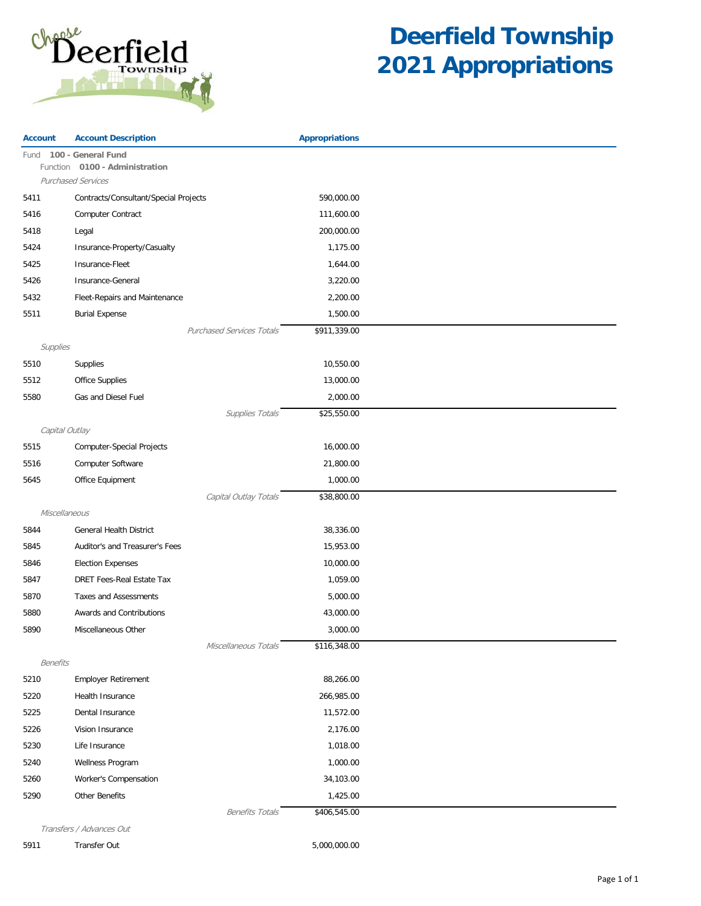

| 100 - General Fund<br>Fund<br>Function 0100 - Administration<br><b>Purchased Services</b><br>Contracts/Consultant/Special Projects<br>590,000.00<br>5411<br>5416<br>Computer Contract<br>111,600.00<br>200,000.00<br>5418<br>Legal<br>Insurance-Property/Casualty<br>1,175.00<br>5424<br>5425<br>Insurance-Fleet<br>1,644.00<br>3,220.00<br>5426<br>Insurance-General<br>5432<br>Fleet-Repairs and Maintenance<br>2,200.00<br>5511<br><b>Burial Expense</b><br>1,500.00<br>\$911,339.00<br><b>Purchased Services Totals</b><br>Supplies<br>5510<br>Supplies<br>10,550.00<br>5512<br>Office Supplies<br>13,000.00<br>Gas and Diesel Fuel<br>2,000.00<br>5580<br>Supplies Totals<br>\$25,550.00<br>Capital Outlay<br>5515<br>16,000.00<br>Computer-Special Projects<br>5516<br>Computer Software<br>21,800.00<br>Office Equipment<br>1,000.00<br>5645<br>Capital Outlay Totals<br>\$38,800.00<br>Miscellaneous<br><b>General Health District</b><br>38,336.00<br>5844<br>15,953.00<br>Auditor's and Treasurer's Fees<br>5845<br>10,000.00<br>5846<br><b>Election Expenses</b><br>5847<br>DRET Fees-Real Estate Tax<br>1,059.00<br><b>Taxes and Assessments</b><br>5870<br>5,000.00<br>5880<br>Awards and Contributions<br>43,000.00<br>3,000.00<br>5890<br>Miscellaneous Other<br>\$116,348.00<br>Miscellaneous Totals<br><b>Benefits</b><br>5210<br><b>Employer Retirement</b><br>88,266.00<br>5220<br>Health Insurance<br>266,985.00<br>5225<br>Dental Insurance<br>11,572.00<br>Vision Insurance<br>5226<br>2,176.00<br>1,018.00<br>5230<br>Life Insurance<br>Wellness Program<br>1,000.00<br>5240<br>5260<br>Worker's Compensation<br>34,103.00<br>5290<br>Other Benefits<br>1,425.00 | <b>Account</b> | <b>Account Description</b> | <b>Appropriations</b> |  |
|-----------------------------------------------------------------------------------------------------------------------------------------------------------------------------------------------------------------------------------------------------------------------------------------------------------------------------------------------------------------------------------------------------------------------------------------------------------------------------------------------------------------------------------------------------------------------------------------------------------------------------------------------------------------------------------------------------------------------------------------------------------------------------------------------------------------------------------------------------------------------------------------------------------------------------------------------------------------------------------------------------------------------------------------------------------------------------------------------------------------------------------------------------------------------------------------------------------------------------------------------------------------------------------------------------------------------------------------------------------------------------------------------------------------------------------------------------------------------------------------------------------------------------------------------------------------------------------------------------------------------------------------------------------------------------------------|----------------|----------------------------|-----------------------|--|
|                                                                                                                                                                                                                                                                                                                                                                                                                                                                                                                                                                                                                                                                                                                                                                                                                                                                                                                                                                                                                                                                                                                                                                                                                                                                                                                                                                                                                                                                                                                                                                                                                                                                                         |                |                            |                       |  |
|                                                                                                                                                                                                                                                                                                                                                                                                                                                                                                                                                                                                                                                                                                                                                                                                                                                                                                                                                                                                                                                                                                                                                                                                                                                                                                                                                                                                                                                                                                                                                                                                                                                                                         |                |                            |                       |  |
|                                                                                                                                                                                                                                                                                                                                                                                                                                                                                                                                                                                                                                                                                                                                                                                                                                                                                                                                                                                                                                                                                                                                                                                                                                                                                                                                                                                                                                                                                                                                                                                                                                                                                         |                |                            |                       |  |
|                                                                                                                                                                                                                                                                                                                                                                                                                                                                                                                                                                                                                                                                                                                                                                                                                                                                                                                                                                                                                                                                                                                                                                                                                                                                                                                                                                                                                                                                                                                                                                                                                                                                                         |                |                            |                       |  |
|                                                                                                                                                                                                                                                                                                                                                                                                                                                                                                                                                                                                                                                                                                                                                                                                                                                                                                                                                                                                                                                                                                                                                                                                                                                                                                                                                                                                                                                                                                                                                                                                                                                                                         |                |                            |                       |  |
|                                                                                                                                                                                                                                                                                                                                                                                                                                                                                                                                                                                                                                                                                                                                                                                                                                                                                                                                                                                                                                                                                                                                                                                                                                                                                                                                                                                                                                                                                                                                                                                                                                                                                         |                |                            |                       |  |
|                                                                                                                                                                                                                                                                                                                                                                                                                                                                                                                                                                                                                                                                                                                                                                                                                                                                                                                                                                                                                                                                                                                                                                                                                                                                                                                                                                                                                                                                                                                                                                                                                                                                                         |                |                            |                       |  |
|                                                                                                                                                                                                                                                                                                                                                                                                                                                                                                                                                                                                                                                                                                                                                                                                                                                                                                                                                                                                                                                                                                                                                                                                                                                                                                                                                                                                                                                                                                                                                                                                                                                                                         |                |                            |                       |  |
|                                                                                                                                                                                                                                                                                                                                                                                                                                                                                                                                                                                                                                                                                                                                                                                                                                                                                                                                                                                                                                                                                                                                                                                                                                                                                                                                                                                                                                                                                                                                                                                                                                                                                         |                |                            |                       |  |
|                                                                                                                                                                                                                                                                                                                                                                                                                                                                                                                                                                                                                                                                                                                                                                                                                                                                                                                                                                                                                                                                                                                                                                                                                                                                                                                                                                                                                                                                                                                                                                                                                                                                                         |                |                            |                       |  |
|                                                                                                                                                                                                                                                                                                                                                                                                                                                                                                                                                                                                                                                                                                                                                                                                                                                                                                                                                                                                                                                                                                                                                                                                                                                                                                                                                                                                                                                                                                                                                                                                                                                                                         |                |                            |                       |  |
|                                                                                                                                                                                                                                                                                                                                                                                                                                                                                                                                                                                                                                                                                                                                                                                                                                                                                                                                                                                                                                                                                                                                                                                                                                                                                                                                                                                                                                                                                                                                                                                                                                                                                         |                |                            |                       |  |
|                                                                                                                                                                                                                                                                                                                                                                                                                                                                                                                                                                                                                                                                                                                                                                                                                                                                                                                                                                                                                                                                                                                                                                                                                                                                                                                                                                                                                                                                                                                                                                                                                                                                                         |                |                            |                       |  |
|                                                                                                                                                                                                                                                                                                                                                                                                                                                                                                                                                                                                                                                                                                                                                                                                                                                                                                                                                                                                                                                                                                                                                                                                                                                                                                                                                                                                                                                                                                                                                                                                                                                                                         |                |                            |                       |  |
|                                                                                                                                                                                                                                                                                                                                                                                                                                                                                                                                                                                                                                                                                                                                                                                                                                                                                                                                                                                                                                                                                                                                                                                                                                                                                                                                                                                                                                                                                                                                                                                                                                                                                         |                |                            |                       |  |
|                                                                                                                                                                                                                                                                                                                                                                                                                                                                                                                                                                                                                                                                                                                                                                                                                                                                                                                                                                                                                                                                                                                                                                                                                                                                                                                                                                                                                                                                                                                                                                                                                                                                                         |                |                            |                       |  |
|                                                                                                                                                                                                                                                                                                                                                                                                                                                                                                                                                                                                                                                                                                                                                                                                                                                                                                                                                                                                                                                                                                                                                                                                                                                                                                                                                                                                                                                                                                                                                                                                                                                                                         |                |                            |                       |  |
|                                                                                                                                                                                                                                                                                                                                                                                                                                                                                                                                                                                                                                                                                                                                                                                                                                                                                                                                                                                                                                                                                                                                                                                                                                                                                                                                                                                                                                                                                                                                                                                                                                                                                         |                |                            |                       |  |
|                                                                                                                                                                                                                                                                                                                                                                                                                                                                                                                                                                                                                                                                                                                                                                                                                                                                                                                                                                                                                                                                                                                                                                                                                                                                                                                                                                                                                                                                                                                                                                                                                                                                                         |                |                            |                       |  |
|                                                                                                                                                                                                                                                                                                                                                                                                                                                                                                                                                                                                                                                                                                                                                                                                                                                                                                                                                                                                                                                                                                                                                                                                                                                                                                                                                                                                                                                                                                                                                                                                                                                                                         |                |                            |                       |  |
|                                                                                                                                                                                                                                                                                                                                                                                                                                                                                                                                                                                                                                                                                                                                                                                                                                                                                                                                                                                                                                                                                                                                                                                                                                                                                                                                                                                                                                                                                                                                                                                                                                                                                         |                |                            |                       |  |
|                                                                                                                                                                                                                                                                                                                                                                                                                                                                                                                                                                                                                                                                                                                                                                                                                                                                                                                                                                                                                                                                                                                                                                                                                                                                                                                                                                                                                                                                                                                                                                                                                                                                                         |                |                            |                       |  |
|                                                                                                                                                                                                                                                                                                                                                                                                                                                                                                                                                                                                                                                                                                                                                                                                                                                                                                                                                                                                                                                                                                                                                                                                                                                                                                                                                                                                                                                                                                                                                                                                                                                                                         |                |                            |                       |  |
|                                                                                                                                                                                                                                                                                                                                                                                                                                                                                                                                                                                                                                                                                                                                                                                                                                                                                                                                                                                                                                                                                                                                                                                                                                                                                                                                                                                                                                                                                                                                                                                                                                                                                         |                |                            |                       |  |
|                                                                                                                                                                                                                                                                                                                                                                                                                                                                                                                                                                                                                                                                                                                                                                                                                                                                                                                                                                                                                                                                                                                                                                                                                                                                                                                                                                                                                                                                                                                                                                                                                                                                                         |                |                            |                       |  |
|                                                                                                                                                                                                                                                                                                                                                                                                                                                                                                                                                                                                                                                                                                                                                                                                                                                                                                                                                                                                                                                                                                                                                                                                                                                                                                                                                                                                                                                                                                                                                                                                                                                                                         |                |                            |                       |  |
|                                                                                                                                                                                                                                                                                                                                                                                                                                                                                                                                                                                                                                                                                                                                                                                                                                                                                                                                                                                                                                                                                                                                                                                                                                                                                                                                                                                                                                                                                                                                                                                                                                                                                         |                |                            |                       |  |
|                                                                                                                                                                                                                                                                                                                                                                                                                                                                                                                                                                                                                                                                                                                                                                                                                                                                                                                                                                                                                                                                                                                                                                                                                                                                                                                                                                                                                                                                                                                                                                                                                                                                                         |                |                            |                       |  |
|                                                                                                                                                                                                                                                                                                                                                                                                                                                                                                                                                                                                                                                                                                                                                                                                                                                                                                                                                                                                                                                                                                                                                                                                                                                                                                                                                                                                                                                                                                                                                                                                                                                                                         |                |                            |                       |  |
|                                                                                                                                                                                                                                                                                                                                                                                                                                                                                                                                                                                                                                                                                                                                                                                                                                                                                                                                                                                                                                                                                                                                                                                                                                                                                                                                                                                                                                                                                                                                                                                                                                                                                         |                |                            |                       |  |
|                                                                                                                                                                                                                                                                                                                                                                                                                                                                                                                                                                                                                                                                                                                                                                                                                                                                                                                                                                                                                                                                                                                                                                                                                                                                                                                                                                                                                                                                                                                                                                                                                                                                                         |                |                            |                       |  |
|                                                                                                                                                                                                                                                                                                                                                                                                                                                                                                                                                                                                                                                                                                                                                                                                                                                                                                                                                                                                                                                                                                                                                                                                                                                                                                                                                                                                                                                                                                                                                                                                                                                                                         |                |                            |                       |  |
|                                                                                                                                                                                                                                                                                                                                                                                                                                                                                                                                                                                                                                                                                                                                                                                                                                                                                                                                                                                                                                                                                                                                                                                                                                                                                                                                                                                                                                                                                                                                                                                                                                                                                         |                |                            |                       |  |
|                                                                                                                                                                                                                                                                                                                                                                                                                                                                                                                                                                                                                                                                                                                                                                                                                                                                                                                                                                                                                                                                                                                                                                                                                                                                                                                                                                                                                                                                                                                                                                                                                                                                                         |                |                            |                       |  |
|                                                                                                                                                                                                                                                                                                                                                                                                                                                                                                                                                                                                                                                                                                                                                                                                                                                                                                                                                                                                                                                                                                                                                                                                                                                                                                                                                                                                                                                                                                                                                                                                                                                                                         |                |                            |                       |  |
|                                                                                                                                                                                                                                                                                                                                                                                                                                                                                                                                                                                                                                                                                                                                                                                                                                                                                                                                                                                                                                                                                                                                                                                                                                                                                                                                                                                                                                                                                                                                                                                                                                                                                         |                |                            |                       |  |
|                                                                                                                                                                                                                                                                                                                                                                                                                                                                                                                                                                                                                                                                                                                                                                                                                                                                                                                                                                                                                                                                                                                                                                                                                                                                                                                                                                                                                                                                                                                                                                                                                                                                                         |                |                            |                       |  |
|                                                                                                                                                                                                                                                                                                                                                                                                                                                                                                                                                                                                                                                                                                                                                                                                                                                                                                                                                                                                                                                                                                                                                                                                                                                                                                                                                                                                                                                                                                                                                                                                                                                                                         |                |                            |                       |  |
|                                                                                                                                                                                                                                                                                                                                                                                                                                                                                                                                                                                                                                                                                                                                                                                                                                                                                                                                                                                                                                                                                                                                                                                                                                                                                                                                                                                                                                                                                                                                                                                                                                                                                         |                |                            |                       |  |
| Transfers / Advances Out                                                                                                                                                                                                                                                                                                                                                                                                                                                                                                                                                                                                                                                                                                                                                                                                                                                                                                                                                                                                                                                                                                                                                                                                                                                                                                                                                                                                                                                                                                                                                                                                                                                                |                | <b>Benefits Totals</b>     | \$406,545.00          |  |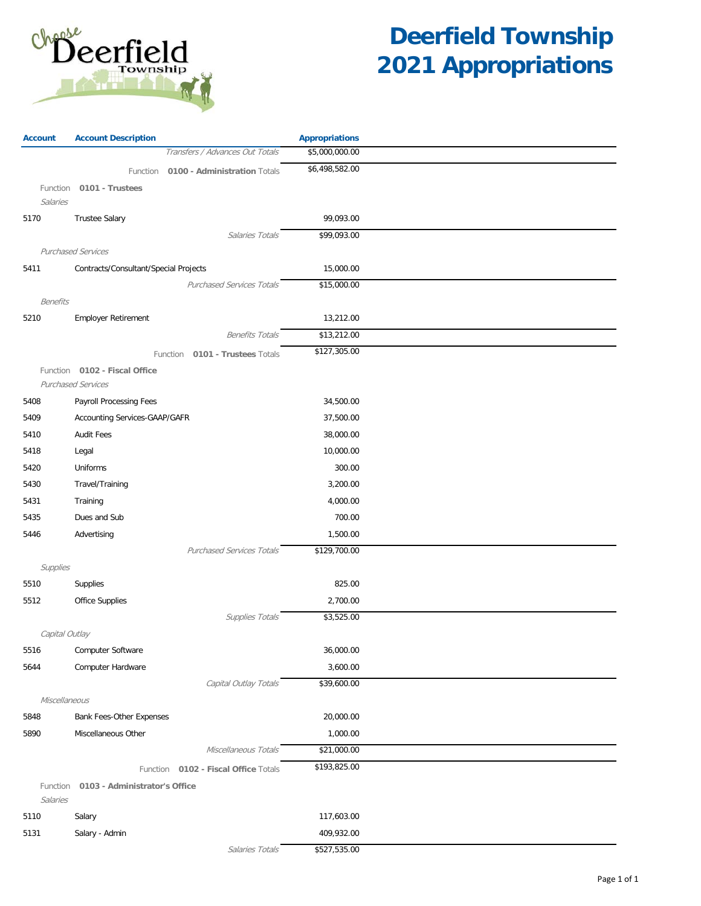

| \$5,000,000.00<br>Transfers / Advances Out Totals<br>\$6,498,582.00<br>0100 - Administration Totals<br>Function<br>0101 - Trustees<br>Function<br>Salaries<br>5170<br><b>Trustee Salary</b><br>99,093.00<br>\$99,093.00<br>Salaries Totals<br><b>Purchased Services</b><br>Contracts/Consultant/Special Projects<br>15,000.00<br>5411<br><b>Purchased Services Totals</b><br>\$15,000.00<br><b>Benefits</b><br>Employer Retirement<br>13,212.00<br>5210<br>\$13,212.00<br><b>Benefits Totals</b><br>\$127,305.00<br>Function 0101 - Trustees Totals<br>0102 - Fiscal Office<br>Function<br><b>Purchased Services</b><br>Payroll Processing Fees<br>34,500.00<br>5408<br>Accounting Services-GAAP/GAFR<br>5409<br>37,500.00<br><b>Audit Fees</b><br>38,000.00<br>5410<br>Legal<br>10,000.00<br>5418<br>Uniforms<br>300.00<br>5420<br>Travel/Training<br>3,200.00<br>5430<br>Training<br>4,000.00<br>5431<br>Dues and Sub<br>700.00<br>5435<br>5446<br>Advertising<br>1,500.00<br><b>Purchased Services Totals</b><br>\$129,700.00<br>Supplies<br>5510<br>Supplies<br>825.00<br>Office Supplies<br>5512<br>2,700.00<br>Supplies Totals<br>\$3,525.00<br>Capital Outlay<br>Computer Software<br>36,000.00<br>5516<br>Computer Hardware<br>3,600.00<br>5644<br>Capital Outlay Totals<br>\$39,600.00<br>Miscellaneous<br>Bank Fees-Other Expenses<br>20,000.00<br>5848<br>5890<br>Miscellaneous Other<br>1,000.00<br>Miscellaneous Totals<br>\$21,000.00<br>\$193,825.00<br>Function 0102 - Fiscal Office Totals<br>Function<br>0103 - Administrator's Office<br>Salaries<br>117,603.00<br>5110<br>Salary<br>5131<br>Salary - Admin<br>409,932.00 | <b>Account</b> | <b>Account Description</b> | <b>Appropriations</b> |  |
|----------------------------------------------------------------------------------------------------------------------------------------------------------------------------------------------------------------------------------------------------------------------------------------------------------------------------------------------------------------------------------------------------------------------------------------------------------------------------------------------------------------------------------------------------------------------------------------------------------------------------------------------------------------------------------------------------------------------------------------------------------------------------------------------------------------------------------------------------------------------------------------------------------------------------------------------------------------------------------------------------------------------------------------------------------------------------------------------------------------------------------------------------------------------------------------------------------------------------------------------------------------------------------------------------------------------------------------------------------------------------------------------------------------------------------------------------------------------------------------------------------------------------------------------------------------------------------------------------------------------------------------------|----------------|----------------------------|-----------------------|--|
|                                                                                                                                                                                                                                                                                                                                                                                                                                                                                                                                                                                                                                                                                                                                                                                                                                                                                                                                                                                                                                                                                                                                                                                                                                                                                                                                                                                                                                                                                                                                                                                                                                              |                |                            |                       |  |
|                                                                                                                                                                                                                                                                                                                                                                                                                                                                                                                                                                                                                                                                                                                                                                                                                                                                                                                                                                                                                                                                                                                                                                                                                                                                                                                                                                                                                                                                                                                                                                                                                                              |                |                            |                       |  |
|                                                                                                                                                                                                                                                                                                                                                                                                                                                                                                                                                                                                                                                                                                                                                                                                                                                                                                                                                                                                                                                                                                                                                                                                                                                                                                                                                                                                                                                                                                                                                                                                                                              |                |                            |                       |  |
|                                                                                                                                                                                                                                                                                                                                                                                                                                                                                                                                                                                                                                                                                                                                                                                                                                                                                                                                                                                                                                                                                                                                                                                                                                                                                                                                                                                                                                                                                                                                                                                                                                              |                |                            |                       |  |
|                                                                                                                                                                                                                                                                                                                                                                                                                                                                                                                                                                                                                                                                                                                                                                                                                                                                                                                                                                                                                                                                                                                                                                                                                                                                                                                                                                                                                                                                                                                                                                                                                                              |                |                            |                       |  |
|                                                                                                                                                                                                                                                                                                                                                                                                                                                                                                                                                                                                                                                                                                                                                                                                                                                                                                                                                                                                                                                                                                                                                                                                                                                                                                                                                                                                                                                                                                                                                                                                                                              |                |                            |                       |  |
|                                                                                                                                                                                                                                                                                                                                                                                                                                                                                                                                                                                                                                                                                                                                                                                                                                                                                                                                                                                                                                                                                                                                                                                                                                                                                                                                                                                                                                                                                                                                                                                                                                              |                |                            |                       |  |
|                                                                                                                                                                                                                                                                                                                                                                                                                                                                                                                                                                                                                                                                                                                                                                                                                                                                                                                                                                                                                                                                                                                                                                                                                                                                                                                                                                                                                                                                                                                                                                                                                                              |                |                            |                       |  |
|                                                                                                                                                                                                                                                                                                                                                                                                                                                                                                                                                                                                                                                                                                                                                                                                                                                                                                                                                                                                                                                                                                                                                                                                                                                                                                                                                                                                                                                                                                                                                                                                                                              |                |                            |                       |  |
|                                                                                                                                                                                                                                                                                                                                                                                                                                                                                                                                                                                                                                                                                                                                                                                                                                                                                                                                                                                                                                                                                                                                                                                                                                                                                                                                                                                                                                                                                                                                                                                                                                              |                |                            |                       |  |
|                                                                                                                                                                                                                                                                                                                                                                                                                                                                                                                                                                                                                                                                                                                                                                                                                                                                                                                                                                                                                                                                                                                                                                                                                                                                                                                                                                                                                                                                                                                                                                                                                                              |                |                            |                       |  |
|                                                                                                                                                                                                                                                                                                                                                                                                                                                                                                                                                                                                                                                                                                                                                                                                                                                                                                                                                                                                                                                                                                                                                                                                                                                                                                                                                                                                                                                                                                                                                                                                                                              |                |                            |                       |  |
|                                                                                                                                                                                                                                                                                                                                                                                                                                                                                                                                                                                                                                                                                                                                                                                                                                                                                                                                                                                                                                                                                                                                                                                                                                                                                                                                                                                                                                                                                                                                                                                                                                              |                |                            |                       |  |
|                                                                                                                                                                                                                                                                                                                                                                                                                                                                                                                                                                                                                                                                                                                                                                                                                                                                                                                                                                                                                                                                                                                                                                                                                                                                                                                                                                                                                                                                                                                                                                                                                                              |                |                            |                       |  |
|                                                                                                                                                                                                                                                                                                                                                                                                                                                                                                                                                                                                                                                                                                                                                                                                                                                                                                                                                                                                                                                                                                                                                                                                                                                                                                                                                                                                                                                                                                                                                                                                                                              |                |                            |                       |  |
|                                                                                                                                                                                                                                                                                                                                                                                                                                                                                                                                                                                                                                                                                                                                                                                                                                                                                                                                                                                                                                                                                                                                                                                                                                                                                                                                                                                                                                                                                                                                                                                                                                              |                |                            |                       |  |
|                                                                                                                                                                                                                                                                                                                                                                                                                                                                                                                                                                                                                                                                                                                                                                                                                                                                                                                                                                                                                                                                                                                                                                                                                                                                                                                                                                                                                                                                                                                                                                                                                                              |                |                            |                       |  |
|                                                                                                                                                                                                                                                                                                                                                                                                                                                                                                                                                                                                                                                                                                                                                                                                                                                                                                                                                                                                                                                                                                                                                                                                                                                                                                                                                                                                                                                                                                                                                                                                                                              |                |                            |                       |  |
|                                                                                                                                                                                                                                                                                                                                                                                                                                                                                                                                                                                                                                                                                                                                                                                                                                                                                                                                                                                                                                                                                                                                                                                                                                                                                                                                                                                                                                                                                                                                                                                                                                              |                |                            |                       |  |
|                                                                                                                                                                                                                                                                                                                                                                                                                                                                                                                                                                                                                                                                                                                                                                                                                                                                                                                                                                                                                                                                                                                                                                                                                                                                                                                                                                                                                                                                                                                                                                                                                                              |                |                            |                       |  |
|                                                                                                                                                                                                                                                                                                                                                                                                                                                                                                                                                                                                                                                                                                                                                                                                                                                                                                                                                                                                                                                                                                                                                                                                                                                                                                                                                                                                                                                                                                                                                                                                                                              |                |                            |                       |  |
|                                                                                                                                                                                                                                                                                                                                                                                                                                                                                                                                                                                                                                                                                                                                                                                                                                                                                                                                                                                                                                                                                                                                                                                                                                                                                                                                                                                                                                                                                                                                                                                                                                              |                |                            |                       |  |
|                                                                                                                                                                                                                                                                                                                                                                                                                                                                                                                                                                                                                                                                                                                                                                                                                                                                                                                                                                                                                                                                                                                                                                                                                                                                                                                                                                                                                                                                                                                                                                                                                                              |                |                            |                       |  |
|                                                                                                                                                                                                                                                                                                                                                                                                                                                                                                                                                                                                                                                                                                                                                                                                                                                                                                                                                                                                                                                                                                                                                                                                                                                                                                                                                                                                                                                                                                                                                                                                                                              |                |                            |                       |  |
|                                                                                                                                                                                                                                                                                                                                                                                                                                                                                                                                                                                                                                                                                                                                                                                                                                                                                                                                                                                                                                                                                                                                                                                                                                                                                                                                                                                                                                                                                                                                                                                                                                              |                |                            |                       |  |
|                                                                                                                                                                                                                                                                                                                                                                                                                                                                                                                                                                                                                                                                                                                                                                                                                                                                                                                                                                                                                                                                                                                                                                                                                                                                                                                                                                                                                                                                                                                                                                                                                                              |                |                            |                       |  |
|                                                                                                                                                                                                                                                                                                                                                                                                                                                                                                                                                                                                                                                                                                                                                                                                                                                                                                                                                                                                                                                                                                                                                                                                                                                                                                                                                                                                                                                                                                                                                                                                                                              |                |                            |                       |  |
|                                                                                                                                                                                                                                                                                                                                                                                                                                                                                                                                                                                                                                                                                                                                                                                                                                                                                                                                                                                                                                                                                                                                                                                                                                                                                                                                                                                                                                                                                                                                                                                                                                              |                |                            |                       |  |
|                                                                                                                                                                                                                                                                                                                                                                                                                                                                                                                                                                                                                                                                                                                                                                                                                                                                                                                                                                                                                                                                                                                                                                                                                                                                                                                                                                                                                                                                                                                                                                                                                                              |                |                            |                       |  |
|                                                                                                                                                                                                                                                                                                                                                                                                                                                                                                                                                                                                                                                                                                                                                                                                                                                                                                                                                                                                                                                                                                                                                                                                                                                                                                                                                                                                                                                                                                                                                                                                                                              |                |                            |                       |  |
|                                                                                                                                                                                                                                                                                                                                                                                                                                                                                                                                                                                                                                                                                                                                                                                                                                                                                                                                                                                                                                                                                                                                                                                                                                                                                                                                                                                                                                                                                                                                                                                                                                              |                |                            |                       |  |
|                                                                                                                                                                                                                                                                                                                                                                                                                                                                                                                                                                                                                                                                                                                                                                                                                                                                                                                                                                                                                                                                                                                                                                                                                                                                                                                                                                                                                                                                                                                                                                                                                                              |                |                            |                       |  |
|                                                                                                                                                                                                                                                                                                                                                                                                                                                                                                                                                                                                                                                                                                                                                                                                                                                                                                                                                                                                                                                                                                                                                                                                                                                                                                                                                                                                                                                                                                                                                                                                                                              |                |                            |                       |  |
|                                                                                                                                                                                                                                                                                                                                                                                                                                                                                                                                                                                                                                                                                                                                                                                                                                                                                                                                                                                                                                                                                                                                                                                                                                                                                                                                                                                                                                                                                                                                                                                                                                              |                |                            |                       |  |
|                                                                                                                                                                                                                                                                                                                                                                                                                                                                                                                                                                                                                                                                                                                                                                                                                                                                                                                                                                                                                                                                                                                                                                                                                                                                                                                                                                                                                                                                                                                                                                                                                                              |                |                            |                       |  |
|                                                                                                                                                                                                                                                                                                                                                                                                                                                                                                                                                                                                                                                                                                                                                                                                                                                                                                                                                                                                                                                                                                                                                                                                                                                                                                                                                                                                                                                                                                                                                                                                                                              |                |                            |                       |  |
|                                                                                                                                                                                                                                                                                                                                                                                                                                                                                                                                                                                                                                                                                                                                                                                                                                                                                                                                                                                                                                                                                                                                                                                                                                                                                                                                                                                                                                                                                                                                                                                                                                              |                |                            |                       |  |
|                                                                                                                                                                                                                                                                                                                                                                                                                                                                                                                                                                                                                                                                                                                                                                                                                                                                                                                                                                                                                                                                                                                                                                                                                                                                                                                                                                                                                                                                                                                                                                                                                                              |                |                            |                       |  |
|                                                                                                                                                                                                                                                                                                                                                                                                                                                                                                                                                                                                                                                                                                                                                                                                                                                                                                                                                                                                                                                                                                                                                                                                                                                                                                                                                                                                                                                                                                                                                                                                                                              |                |                            |                       |  |
|                                                                                                                                                                                                                                                                                                                                                                                                                                                                                                                                                                                                                                                                                                                                                                                                                                                                                                                                                                                                                                                                                                                                                                                                                                                                                                                                                                                                                                                                                                                                                                                                                                              |                |                            |                       |  |
|                                                                                                                                                                                                                                                                                                                                                                                                                                                                                                                                                                                                                                                                                                                                                                                                                                                                                                                                                                                                                                                                                                                                                                                                                                                                                                                                                                                                                                                                                                                                                                                                                                              |                |                            |                       |  |
|                                                                                                                                                                                                                                                                                                                                                                                                                                                                                                                                                                                                                                                                                                                                                                                                                                                                                                                                                                                                                                                                                                                                                                                                                                                                                                                                                                                                                                                                                                                                                                                                                                              |                |                            |                       |  |
|                                                                                                                                                                                                                                                                                                                                                                                                                                                                                                                                                                                                                                                                                                                                                                                                                                                                                                                                                                                                                                                                                                                                                                                                                                                                                                                                                                                                                                                                                                                                                                                                                                              |                | Salaries Totals            | \$527,535.00          |  |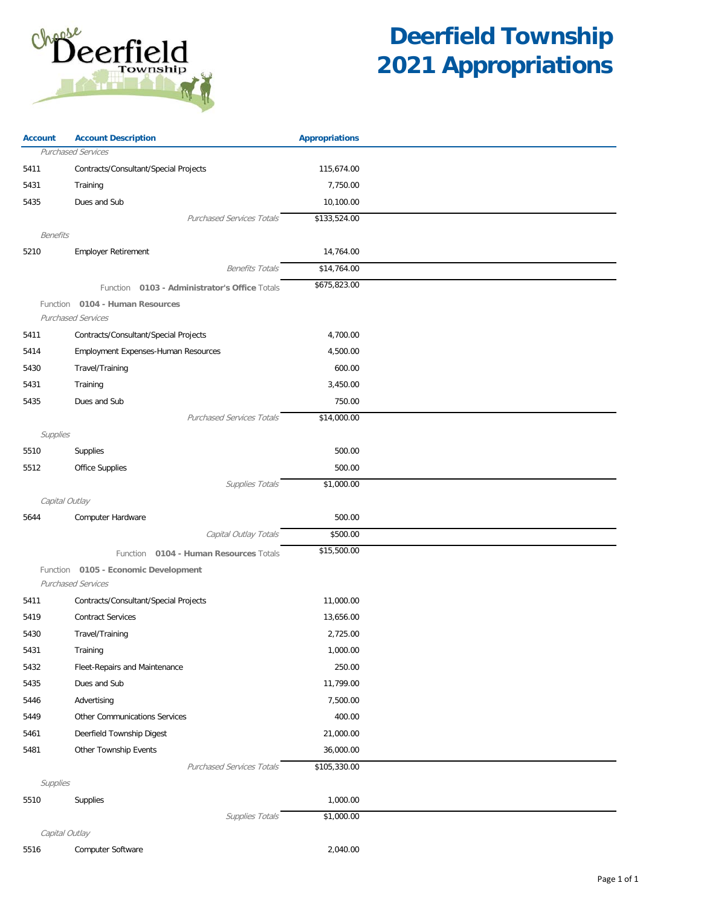

| <b>Account</b> | <b>Account Description</b>                       | <b>Appropriations</b> |  |
|----------------|--------------------------------------------------|-----------------------|--|
|                | Purchased Services                               |                       |  |
| 5411           | Contracts/Consultant/Special Projects            | 115,674.00            |  |
| 5431           | Training                                         | 7,750.00              |  |
| 5435           | Dues and Sub                                     | 10,100.00             |  |
|                | <b>Purchased Services Totals</b>                 | \$133,524.00          |  |
| Benefits       |                                                  |                       |  |
| 5210           | <b>Employer Retirement</b>                       | 14,764.00             |  |
|                | <b>Benefits Totals</b>                           | \$14,764.00           |  |
|                | 0103 - Administrator's Office Totals<br>Function | \$675,823.00          |  |
|                | Function 0104 - Human Resources                  |                       |  |
|                | <b>Purchased Services</b>                        |                       |  |
| 5411           | Contracts/Consultant/Special Projects            | 4,700.00              |  |
| 5414           | Employment Expenses-Human Resources              | 4,500.00              |  |
| 5430           | Travel/Training                                  | 600.00                |  |
| 5431           | Training                                         | 3,450.00              |  |
| 5435           | Dues and Sub                                     | 750.00                |  |
|                | <b>Purchased Services Totals</b>                 | \$14,000.00           |  |
| Supplies       |                                                  |                       |  |
| 5510           | Supplies                                         | 500.00                |  |
| 5512           | Office Supplies                                  | 500.00                |  |
|                | Supplies Totals                                  | \$1,000.00            |  |
| Capital Outlay |                                                  |                       |  |
| 5644           | Computer Hardware                                | 500.00                |  |
|                | Capital Outlay Totals                            | \$500.00              |  |
|                | Function 0104 - Human Resources Totals           | \$15,500.00           |  |
|                | Function 0105 - Economic Development             |                       |  |
|                | <b>Purchased Services</b>                        |                       |  |
| 5411           | Contracts/Consultant/Special Projects            | 11,000.00             |  |
| 5419           | <b>Contract Services</b>                         | 13,656.00             |  |
| 5430           | Travel/Training                                  | 2,725.00              |  |
| 5431           | Training                                         | 1,000.00              |  |
| 5432           | Fleet-Repairs and Maintenance                    | 250.00                |  |
| 5435           | Dues and Sub                                     | 11,799.00             |  |
| 5446           | Advertising                                      | 7,500.00              |  |
| 5449           | Other Communications Services                    | 400.00                |  |
| 5461           | Deerfield Township Digest                        | 21,000.00             |  |
| 5481           | Other Township Events                            | 36,000.00             |  |
|                | <b>Purchased Services Totals</b>                 | \$105,330.00          |  |
| Supplies       |                                                  |                       |  |
| 5510           | <b>Supplies</b>                                  | 1,000.00              |  |
|                | Supplies Totals                                  | \$1,000.00            |  |
| Capital Outlay |                                                  |                       |  |
| 5516           | Computer Software                                | 2,040.00              |  |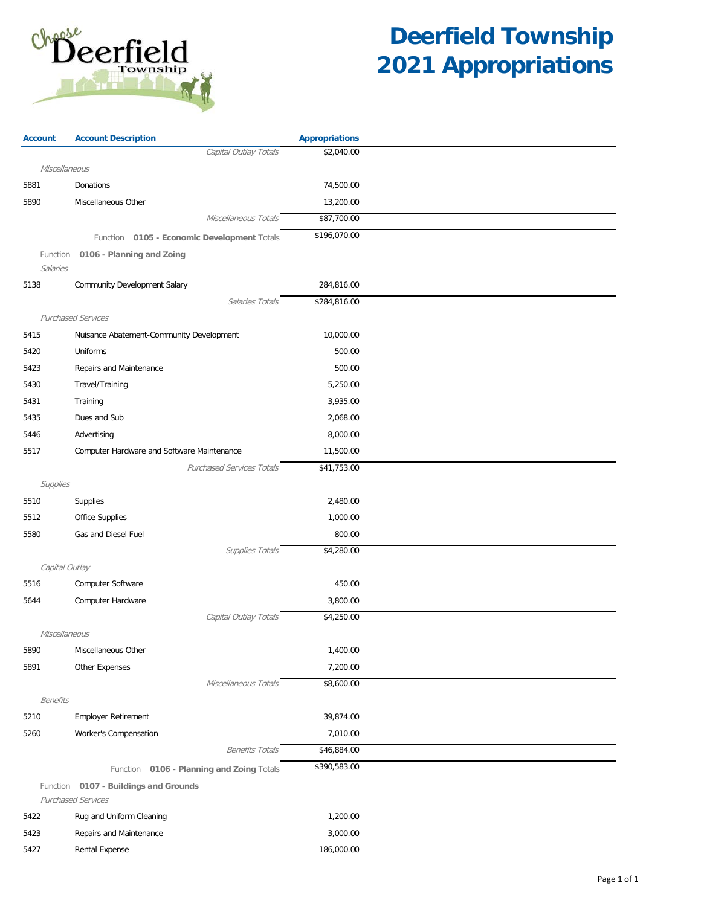

| <b>Account</b>  | <b>Account Description</b>                  | <b>Appropriations</b> |  |
|-----------------|---------------------------------------------|-----------------------|--|
|                 | Capital Outlay Totals                       | \$2,040.00            |  |
| Miscellaneous   |                                             |                       |  |
| 5881            | Donations                                   | 74,500.00             |  |
| 5890            | Miscellaneous Other                         | 13,200.00             |  |
|                 | Miscellaneous Totals                        | \$87,700.00           |  |
|                 | Function 0105 - Economic Development Totals | \$196,070.00          |  |
| Function        | 0106 - Planning and Zoing                   |                       |  |
| Salaries        |                                             |                       |  |
| 5138            | <b>Community Development Salary</b>         | 284,816.00            |  |
|                 | Salaries Totals                             | \$284,816.00          |  |
|                 | <b>Purchased Services</b>                   |                       |  |
| 5415            | Nuisance Abatement-Community Development    | 10,000.00             |  |
| 5420            | Uniforms                                    | 500.00                |  |
| 5423            | Repairs and Maintenance                     | 500.00                |  |
| 5430            | Travel/Training                             | 5,250.00              |  |
| 5431            | Training                                    | 3,935.00              |  |
| 5435            | Dues and Sub                                | 2,068.00              |  |
| 5446            | Advertising                                 | 8,000.00              |  |
| 5517            | Computer Hardware and Software Maintenance  | 11,500.00             |  |
|                 | <b>Purchased Services Totals</b>            | \$41,753.00           |  |
| Supplies        |                                             |                       |  |
| 5510            | Supplies                                    | 2,480.00              |  |
| 5512            | Office Supplies                             | 1,000.00              |  |
| 5580            | Gas and Diesel Fuel                         | 800.00                |  |
|                 | Supplies Totals                             | \$4,280.00            |  |
|                 | Capital Outlay                              |                       |  |
| 5516            | Computer Software                           | 450.00                |  |
| 5644            | Computer Hardware                           | 3,800.00              |  |
|                 | Capital Outlay Totals                       | \$4,250.00            |  |
|                 | Miscellaneous                               |                       |  |
| 5890            | Miscellaneous Other                         | 1,400.00              |  |
| 5891            | Other Expenses                              | 7,200.00              |  |
|                 | Miscellaneous Totals                        | \$8,600.00            |  |
| <b>Benefits</b> |                                             |                       |  |
| 5210            | <b>Employer Retirement</b>                  | 39,874.00             |  |
| 5260            | Worker's Compensation                       | 7,010.00              |  |
|                 | <b>Benefits Totals</b>                      | \$46,884.00           |  |
|                 | Function 0106 - Planning and Zoing Totals   | \$390,583.00          |  |
|                 | Function 0107 - Buildings and Grounds       |                       |  |
|                 | <b>Purchased Services</b>                   |                       |  |
| 5422            | Rug and Uniform Cleaning                    | 1,200.00              |  |
| 5423            | Repairs and Maintenance                     | 3,000.00              |  |
| 5427            | Rental Expense                              | 186,000.00            |  |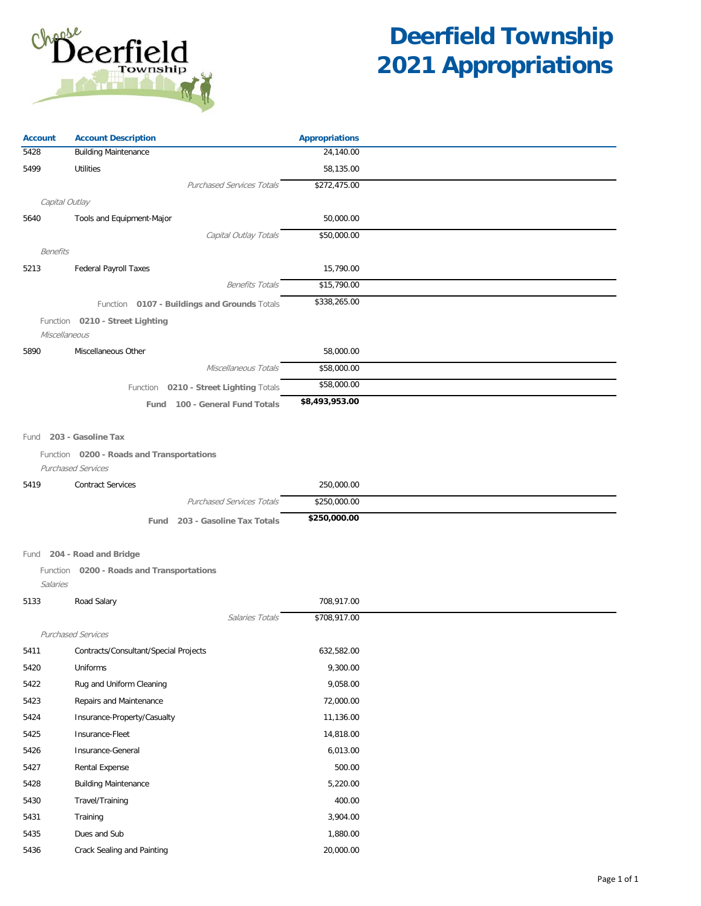

| <b>Account</b>  | <b>Account Description</b>                   | <b>Appropriations</b> |  |
|-----------------|----------------------------------------------|-----------------------|--|
| 5428            | <b>Building Maintenance</b>                  | 24,140.00             |  |
| 5499            | <b>Utilities</b>                             | 58,135.00             |  |
|                 | <b>Purchased Services Totals</b>             | \$272,475.00          |  |
|                 | Capital Outlay                               |                       |  |
| 5640            | Tools and Equipment-Major                    | 50,000.00             |  |
|                 | Capital Outlay Totals                        | \$50,000.00           |  |
| <b>Benefits</b> |                                              |                       |  |
| 5213            | <b>Federal Payroll Taxes</b>                 | 15,790.00             |  |
|                 | <b>Benefits Totals</b>                       | \$15,790.00           |  |
|                 | Function 0107 - Buildings and Grounds Totals | \$338,265.00          |  |
|                 | Function 0210 - Street Lighting              |                       |  |
| Miscellaneous   |                                              |                       |  |
| 5890            | Miscellaneous Other                          | 58,000.00             |  |
|                 | Miscellaneous Totals                         | \$58,000.00           |  |
|                 | Function 0210 - Street Lighting Totals       | \$58,000.00           |  |
|                 | Fund 100 - General Fund Totals               | \$8,493,953.00        |  |
|                 |                                              |                       |  |
| Fund            | 203 - Gasoline Tax                           |                       |  |
|                 | Function 0200 - Roads and Transportations    |                       |  |
|                 | Purchased Services                           |                       |  |
| 5419            | <b>Contract Services</b>                     | 250,000.00            |  |
|                 | <b>Purchased Services Totals</b>             | \$250,000.00          |  |
|                 | 203 - Gasoline Tax Totals<br>Fund            | \$250,000.00          |  |
|                 |                                              |                       |  |
|                 | Fund 204 - Road and Bridge                   |                       |  |
|                 | Function 0200 - Roads and Transportations    |                       |  |
| Salaries        |                                              |                       |  |
| 5133            | Road Salary                                  | 708,917.00            |  |
|                 | Salaries Totals                              | \$708,917.00          |  |
|                 | <b>Purchased Services</b>                    |                       |  |
| 5411            | Contracts/Consultant/Special Projects        | 632,582.00            |  |
| 5420            | Uniforms                                     | 9,300.00              |  |
| 5422            | Rug and Uniform Cleaning                     | 9,058.00              |  |
| 5423            | Repairs and Maintenance                      | 72,000.00             |  |
| 5424            | Insurance-Property/Casualty                  | 11,136.00             |  |
| 5425            | Insurance-Fleet                              | 14,818.00             |  |
| 5426            | Insurance-General                            | 6,013.00              |  |
| 5427            | <b>Rental Expense</b>                        | 500.00                |  |
| 5428            | <b>Building Maintenance</b>                  | 5,220.00              |  |
| 5430            | Travel/Training                              | 400.00                |  |
| 5431            | Training                                     | 3,904.00              |  |
| 5435            | Dues and Sub                                 | 1,880.00              |  |
| 5436            | Crack Sealing and Painting                   | 20,000.00             |  |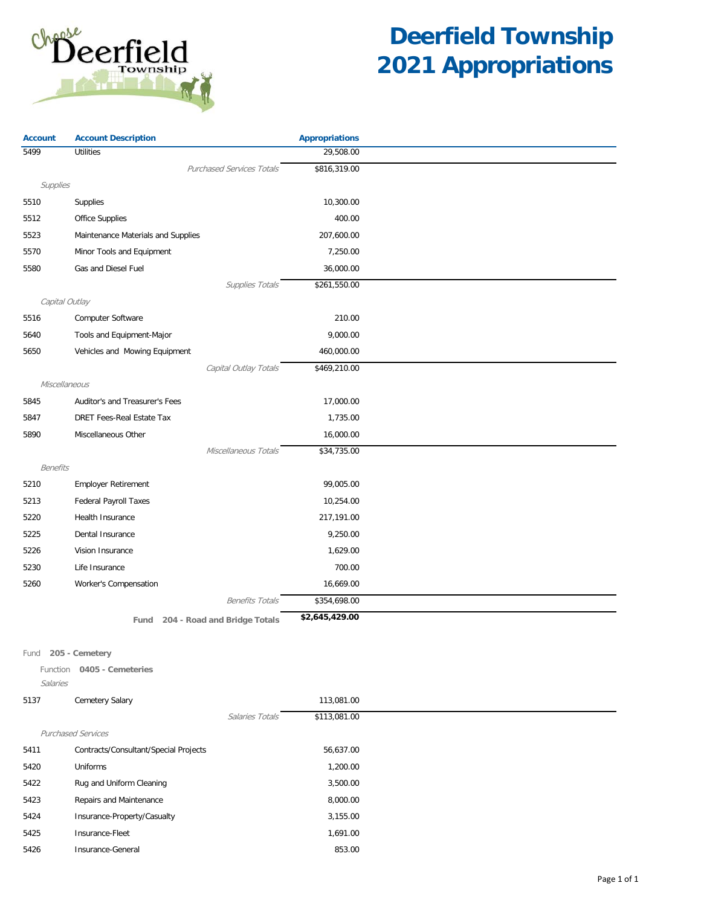

| <b>Account</b>  | <b>Account Description</b>           | <b>Appropriations</b> |  |
|-----------------|--------------------------------------|-----------------------|--|
| 5499            | <b>Utilities</b>                     | 29,508.00             |  |
|                 | <b>Purchased Services Totals</b>     | \$816,319.00          |  |
| Supplies        |                                      |                       |  |
| 5510            | Supplies                             | 10,300.00             |  |
| 5512            | Office Supplies                      | 400.00                |  |
| 5523            | Maintenance Materials and Supplies   | 207,600.00            |  |
| 5570            | Minor Tools and Equipment            | 7,250.00              |  |
| 5580            | Gas and Diesel Fuel                  | 36,000.00             |  |
|                 | Supplies Totals                      | \$261,550.00          |  |
|                 | Capital Outlay                       |                       |  |
| 5516            | Computer Software                    | 210.00                |  |
| 5640            | Tools and Equipment-Major            | 9,000.00              |  |
| 5650            | Vehicles and Mowing Equipment        | 460,000.00            |  |
|                 | Capital Outlay Totals                | \$469,210.00          |  |
|                 | Miscellaneous                        |                       |  |
| 5845            | Auditor's and Treasurer's Fees       | 17,000.00             |  |
| 5847            | DRET Fees-Real Estate Tax            | 1,735.00              |  |
| 5890            | Miscellaneous Other                  | 16,000.00             |  |
|                 | Miscellaneous Totals                 | \$34,735.00           |  |
| <b>Benefits</b> |                                      |                       |  |
| 5210            | <b>Employer Retirement</b>           | 99,005.00             |  |
| 5213            | <b>Federal Payroll Taxes</b>         | 10,254.00             |  |
| 5220            | Health Insurance                     | 217,191.00            |  |
| 5225            | Dental Insurance                     | 9,250.00              |  |
| 5226            | Vision Insurance                     | 1,629.00              |  |
| 5230            | Life Insurance                       | 700.00                |  |
| 5260            | Worker's Compensation                | 16,669.00             |  |
|                 | <b>Benefits Totals</b>               | \$354,698.00          |  |
|                 | 204 - Road and Bridge Totals<br>Fund | \$2,645,429.00        |  |
|                 |                                      |                       |  |

Fund **205 - Cemetery**

Function **0405 - Cemeteries**

Salaries

| 5137 | <b>Cemetery Salary</b>                |                 | 113,081.00   |
|------|---------------------------------------|-----------------|--------------|
|      |                                       | Salaries Totals | \$113,081.00 |
|      | <b>Purchased Services</b>             |                 |              |
| 5411 | Contracts/Consultant/Special Projects |                 | 56,637.00    |
| 5420 | Uniforms                              |                 | 1,200.00     |
| 5422 | Rug and Uniform Cleaning              |                 | 3,500.00     |
| 5423 | Repairs and Maintenance               |                 | 8,000.00     |
| 5424 | Insurance-Property/Casualty           |                 | 3,155.00     |
| 5425 | Insurance-Fleet                       |                 | 1,691.00     |
| 5426 | Insurance-General                     |                 | 853.00       |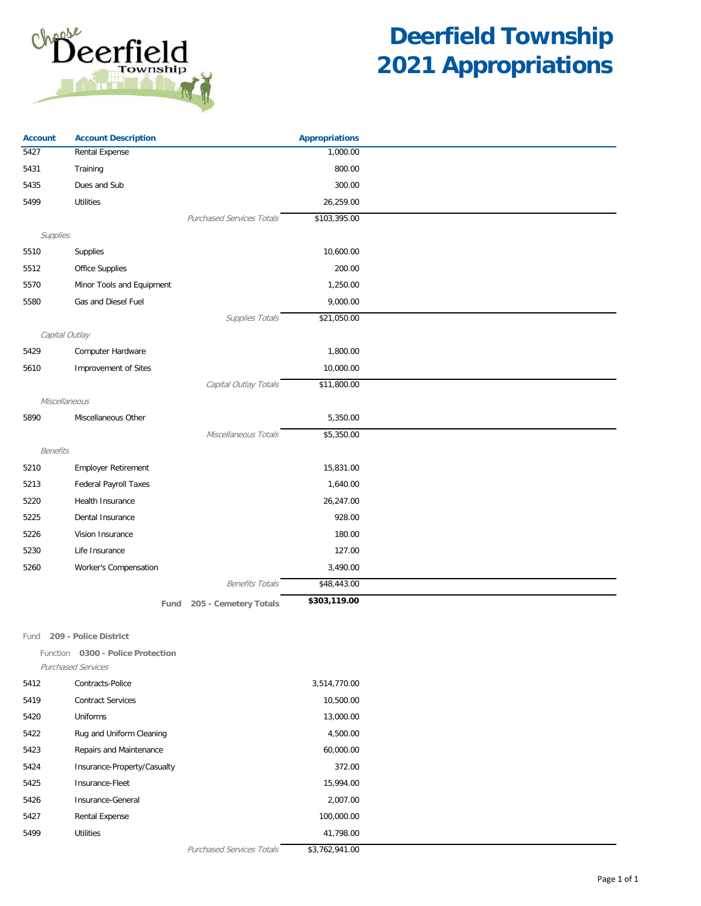

| <b>Account</b> | <b>Account Description</b>        |                                  | <b>Appropriations</b> |  |
|----------------|-----------------------------------|----------------------------------|-----------------------|--|
| 5427           | Rental Expense                    |                                  | 1,000.00              |  |
| 5431           | Training                          |                                  | 800.00                |  |
| 5435           | Dues and Sub                      |                                  | 300.00                |  |
| 5499           | <b>Utilities</b>                  |                                  | 26,259.00             |  |
|                |                                   | <b>Purchased Services Totals</b> | \$103,395.00          |  |
| Supplies       |                                   |                                  |                       |  |
| 5510           | Supplies                          |                                  | 10,600.00             |  |
| 5512           | <b>Office Supplies</b>            |                                  | 200.00                |  |
| 5570           | Minor Tools and Equipment         |                                  | 1,250.00              |  |
| 5580           | Gas and Diesel Fuel               |                                  | 9,000.00              |  |
|                |                                   | Supplies Totals                  | \$21,050.00           |  |
| Capital Outlay |                                   |                                  |                       |  |
| 5429           | Computer Hardware                 |                                  | 1,800.00              |  |
| 5610           | Improvement of Sites              |                                  | 10,000.00             |  |
|                |                                   | Capital Outlay Totals            | \$11,800.00           |  |
| Miscellaneous  |                                   |                                  |                       |  |
| 5890           | Miscellaneous Other               |                                  | 5,350.00              |  |
|                |                                   | Miscellaneous Totals             | \$5,350.00            |  |
| Benefits       |                                   |                                  |                       |  |
| 5210           | <b>Employer Retirement</b>        |                                  | 15,831.00             |  |
| 5213           | <b>Federal Payroll Taxes</b>      |                                  | 1,640.00              |  |
| 5220           | Health Insurance                  |                                  | 26,247.00             |  |
| 5225           | Dental Insurance                  |                                  | 928.00                |  |
| 5226           | Vision Insurance                  |                                  | 180.00                |  |
| 5230           | Life Insurance                    |                                  | 127.00                |  |
| 5260           | Worker's Compensation             |                                  | 3,490.00              |  |
|                |                                   | <b>Benefits Totals</b>           | \$48,443.00           |  |
|                | Fund                              | 205 - Cemetery Totals            | \$303,119.00          |  |
|                |                                   |                                  |                       |  |
|                | Fund 209 - Police District        |                                  |                       |  |
|                | Function 0300 - Police Protection |                                  |                       |  |
|                | <b>Purchased Services</b>         |                                  |                       |  |
| 5412           | Contracts-Police                  |                                  | 3,514,770.00          |  |
| 5419           | <b>Contract Services</b>          |                                  | 10,500.00             |  |
| 5420           | Uniforms                          |                                  | 13,000.00             |  |
| 5422           | Rug and Uniform Cleaning          |                                  | 4,500.00              |  |
| 5423           | Repairs and Maintenance           |                                  | 60,000.00             |  |
| 5424           | Insurance-Property/Casualty       |                                  | 372.00                |  |
| 5425           | Insurance-Fleet                   |                                  | 15,994.00             |  |
| 5426           | Insurance-General                 |                                  | 2,007.00              |  |
| 5427           | <b>Rental Expense</b>             |                                  | 100,000.00            |  |
| 5499           | Utilities                         |                                  | 41,798.00             |  |
|                |                                   | Purchased Services Totals        | \$3,762,941.00        |  |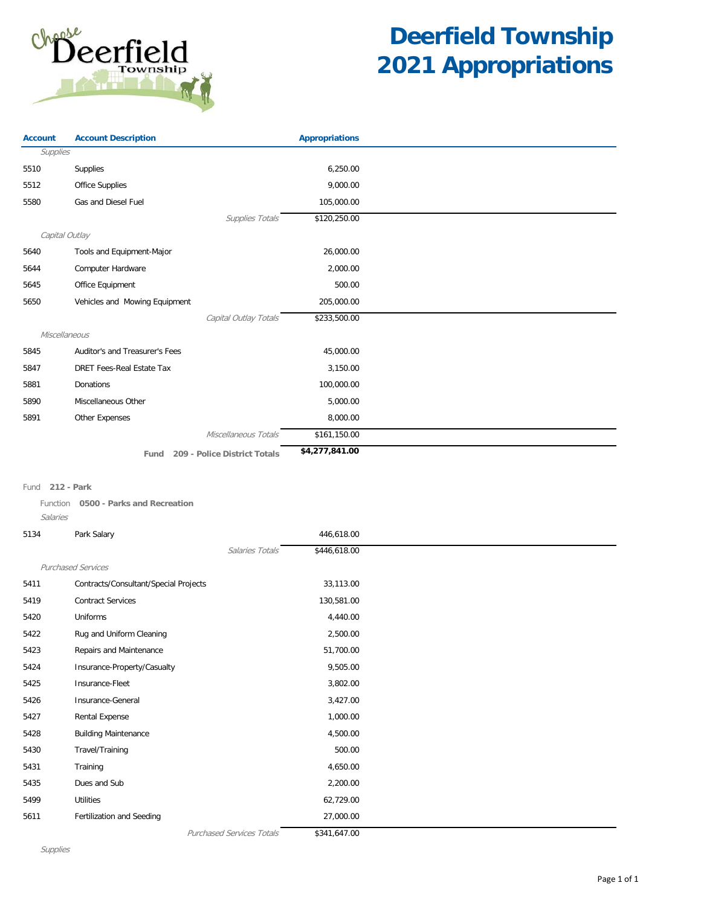

| <b>Account</b> | <b>Account Description</b>           | <b>Appropriations</b> |  |
|----------------|--------------------------------------|-----------------------|--|
| Supplies       |                                      |                       |  |
| 5510           | Supplies                             | 6,250.00              |  |
| 5512           | <b>Office Supplies</b>               | 9,000.00              |  |
| 5580           | Gas and Diesel Fuel                  | 105,000.00            |  |
|                | Supplies Totals                      | \$120,250.00          |  |
| Capital Outlay |                                      |                       |  |
| 5640           | Tools and Equipment-Major            | 26,000.00             |  |
| 5644           | Computer Hardware                    | 2,000.00              |  |
| 5645           | Office Equipment                     | 500.00                |  |
| 5650           | Vehicles and Mowing Equipment        | 205,000.00            |  |
|                | Capital Outlay Totals                | \$233,500.00          |  |
| Miscellaneous  |                                      |                       |  |
| 5845           | Auditor's and Treasurer's Fees       | 45,000.00             |  |
| 5847           | <b>DRET Fees-Real Estate Tax</b>     | 3,150.00              |  |
| 5881           | Donations                            | 100,000.00            |  |
| 5890           | Miscellaneous Other                  | 5,000.00              |  |
| 5891           | Other Expenses                       | 8,000.00              |  |
|                | Miscellaneous Totals                 | \$161,150.00          |  |
|                | 209 - Police District Totals<br>Fund | \$4,277,841.00        |  |
|                |                                      |                       |  |

### Fund **212 - Park**

Function **0500 - Parks and Recreation**

### Salaries

| 5134 | Park Salary                           |                                  | 446,618.00   |  |
|------|---------------------------------------|----------------------------------|--------------|--|
|      |                                       | Salaries Totals                  | \$446,618.00 |  |
|      | <b>Purchased Services</b>             |                                  |              |  |
| 5411 | Contracts/Consultant/Special Projects |                                  | 33,113.00    |  |
| 5419 | <b>Contract Services</b>              |                                  | 130,581.00   |  |
| 5420 | Uniforms                              |                                  | 4,440.00     |  |
| 5422 | Rug and Uniform Cleaning              |                                  | 2,500.00     |  |
| 5423 | Repairs and Maintenance               |                                  | 51,700.00    |  |
| 5424 | Insurance-Property/Casualty           |                                  | 9,505.00     |  |
| 5425 | Insurance-Fleet                       |                                  | 3,802.00     |  |
| 5426 | Insurance-General                     |                                  | 3,427.00     |  |
| 5427 | Rental Expense                        |                                  | 1,000.00     |  |
| 5428 | <b>Building Maintenance</b>           |                                  | 4,500.00     |  |
| 5430 | Travel/Training                       |                                  | 500.00       |  |
| 5431 | Training                              |                                  | 4,650.00     |  |
| 5435 | Dues and Sub                          |                                  | 2,200.00     |  |
| 5499 | <b>Utilities</b>                      |                                  | 62,729.00    |  |
| 5611 | Fertilization and Seeding             |                                  | 27,000.00    |  |
|      |                                       | <b>Purchased Services Totals</b> | \$341,647.00 |  |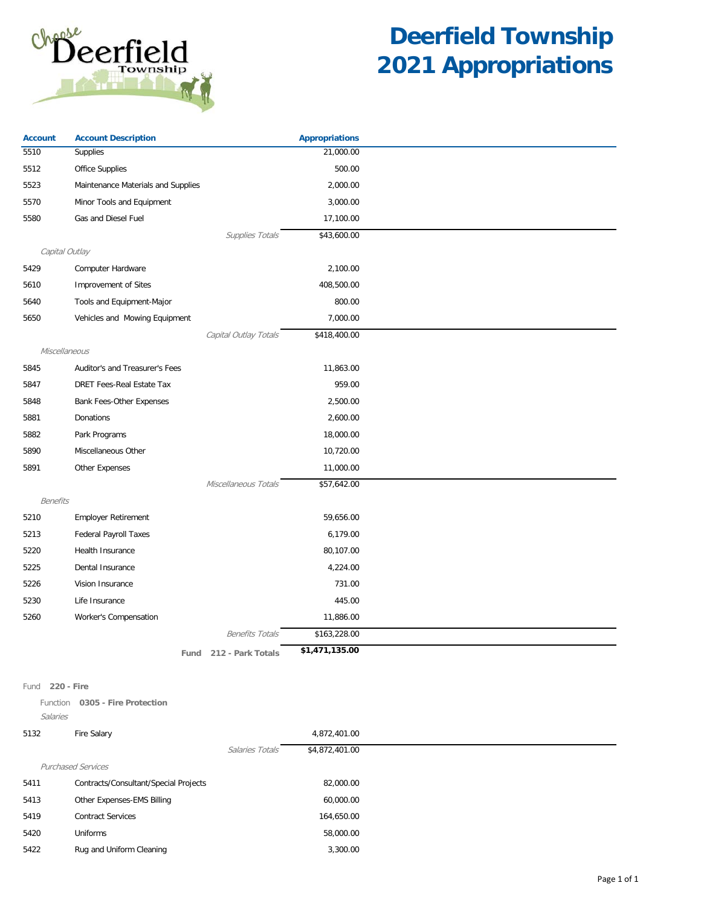

| <b>Account</b>  | <b>Account Description</b>         |                        | <b>Appropriations</b> |  |
|-----------------|------------------------------------|------------------------|-----------------------|--|
| 5510            | Supplies                           |                        | 21,000.00             |  |
| 5512            | Office Supplies                    |                        | 500.00                |  |
| 5523            | Maintenance Materials and Supplies |                        | 2,000.00              |  |
| 5570            | Minor Tools and Equipment          |                        | 3,000.00              |  |
| 5580            | Gas and Diesel Fuel                |                        | 17,100.00             |  |
|                 |                                    | Supplies Totals        | \$43,600.00           |  |
|                 | Capital Outlay                     |                        |                       |  |
| 5429            | Computer Hardware                  |                        | 2,100.00              |  |
| 5610            | Improvement of Sites               |                        | 408,500.00            |  |
| 5640            | Tools and Equipment-Major          |                        | 800.00                |  |
| 5650            | Vehicles and Mowing Equipment      |                        | 7,000.00              |  |
|                 |                                    | Capital Outlay Totals  | \$418,400.00          |  |
| Miscellaneous   |                                    |                        |                       |  |
| 5845            | Auditor's and Treasurer's Fees     |                        | 11,863.00             |  |
| 5847            | DRET Fees-Real Estate Tax          |                        | 959.00                |  |
| 5848            | Bank Fees-Other Expenses           |                        | 2,500.00              |  |
| 5881            | Donations                          |                        | 2,600.00              |  |
| 5882            | Park Programs                      |                        | 18,000.00             |  |
| 5890            | Miscellaneous Other                |                        | 10,720.00             |  |
| 5891            | Other Expenses                     |                        | 11,000.00             |  |
|                 |                                    | Miscellaneous Totals   | \$57,642.00           |  |
| <b>Benefits</b> |                                    |                        |                       |  |
| 5210            | Employer Retirement                |                        | 59,656.00             |  |
| 5213            | <b>Federal Payroll Taxes</b>       |                        | 6,179.00              |  |
| 5220            | <b>Health Insurance</b>            |                        | 80,107.00             |  |
| 5225            | Dental Insurance                   |                        | 4,224.00              |  |
| 5226            | Vision Insurance                   |                        | 731.00                |  |
| 5230            | Life Insurance                     |                        | 445.00                |  |
| 5260            | Worker's Compensation              |                        | 11,886.00             |  |
|                 |                                    | <b>Benefits Totals</b> | \$163,228.00          |  |
|                 | Fund                               | 212 - Park Totals      | \$1,471,135.00        |  |

#### Fund **220 - Fire**

Function **0305 - Fire Protection** Salaries

| 5132 | Fire Salary                           |                 | 4,872,401.00   |
|------|---------------------------------------|-----------------|----------------|
|      |                                       | Salaries Totals | \$4,872,401.00 |
|      | <b>Purchased Services</b>             |                 |                |
| 5411 | Contracts/Consultant/Special Projects |                 | 82,000.00      |
| 5413 | Other Expenses-EMS Billing            |                 | 60,000.00      |
| 5419 | <b>Contract Services</b>              |                 | 164,650.00     |
| 5420 | Uniforms                              |                 | 58,000.00      |
| 5422 | Rug and Uniform Cleaning              |                 | 3,300.00       |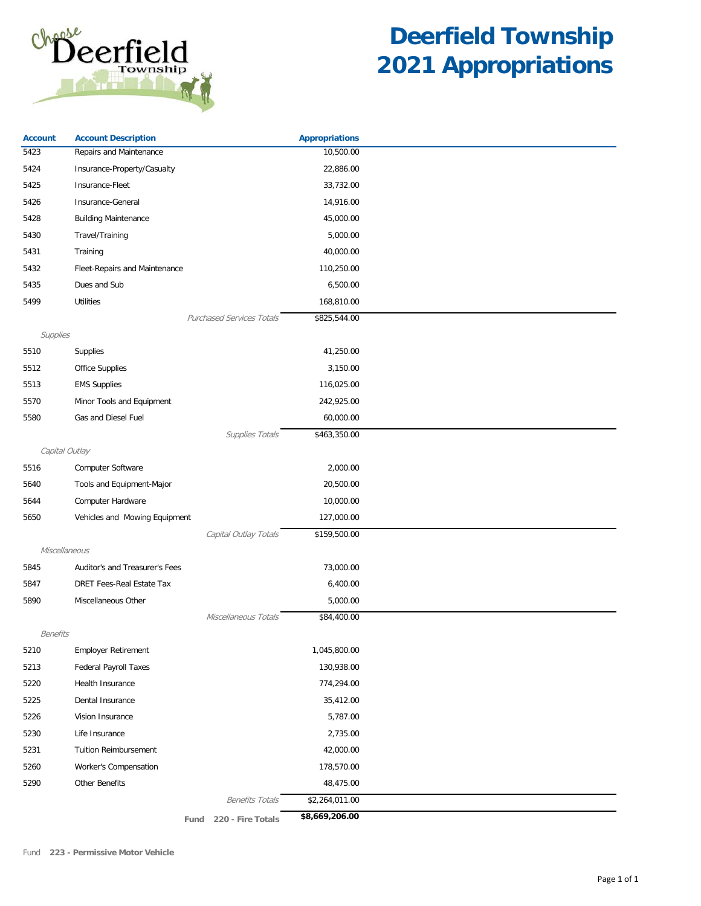

| <b>Account</b>  | <b>Account Description</b>       | <b>Appropriations</b> |  |
|-----------------|----------------------------------|-----------------------|--|
| 5423            | Repairs and Maintenance          | 10,500.00             |  |
| 5424            | Insurance-Property/Casualty      | 22,886.00             |  |
| 5425            | Insurance-Fleet                  | 33,732.00             |  |
| 5426            | Insurance-General                | 14,916.00             |  |
| 5428            | <b>Building Maintenance</b>      | 45,000.00             |  |
| 5430            | Travel/Training                  | 5,000.00              |  |
| 5431            | Training                         | 40,000.00             |  |
| 5432            | Fleet-Repairs and Maintenance    | 110,250.00            |  |
| 5435            | Dues and Sub                     | 6,500.00              |  |
| 5499            | <b>Utilities</b>                 | 168,810.00            |  |
|                 | <b>Purchased Services Totals</b> | \$825,544.00          |  |
| Supplies        |                                  |                       |  |
| 5510            | Supplies                         | 41,250.00             |  |
| 5512            | Office Supplies                  | 3,150.00              |  |
| 5513            | <b>EMS Supplies</b>              | 116,025.00            |  |
| 5570            | Minor Tools and Equipment        | 242,925.00            |  |
| 5580            | Gas and Diesel Fuel              | 60,000.00             |  |
|                 | Supplies Totals                  | \$463,350.00          |  |
| Capital Outlay  |                                  |                       |  |
| 5516            | Computer Software                | 2,000.00              |  |
| 5640            | Tools and Equipment-Major        | 20,500.00             |  |
| 5644            | Computer Hardware                | 10,000.00             |  |
| 5650            | Vehicles and Mowing Equipment    | 127,000.00            |  |
|                 | Capital Outlay Totals            | \$159,500.00          |  |
| Miscellaneous   |                                  |                       |  |
| 5845            | Auditor's and Treasurer's Fees   | 73,000.00             |  |
| 5847            | DRET Fees-Real Estate Tax        | 6,400.00              |  |
| 5890            | Miscellaneous Other              | 5,000.00              |  |
|                 | Miscellaneous Totals             | \$84,400.00           |  |
| <b>Benefits</b> |                                  |                       |  |
| 5210            | <b>Employer Retirement</b>       | 1,045,800.00          |  |
| 5213            | <b>Federal Payroll Taxes</b>     | 130,938.00            |  |
| 5220            | Health Insurance                 | 774,294.00            |  |
| 5225            | Dental Insurance                 | 35,412.00             |  |
| 5226            | Vision Insurance                 | 5,787.00              |  |
| 5230            | Life Insurance                   | 2,735.00              |  |
| 5231            | <b>Tuition Reimbursement</b>     | 42,000.00             |  |
| 5260            | Worker's Compensation            | 178,570.00            |  |
| 5290            | Other Benefits                   | 48,475.00             |  |
|                 | <b>Benefits Totals</b>           | \$2,264,011.00        |  |
|                 | 220 - Fire Totals<br>Fund        | \$8,669,206.00        |  |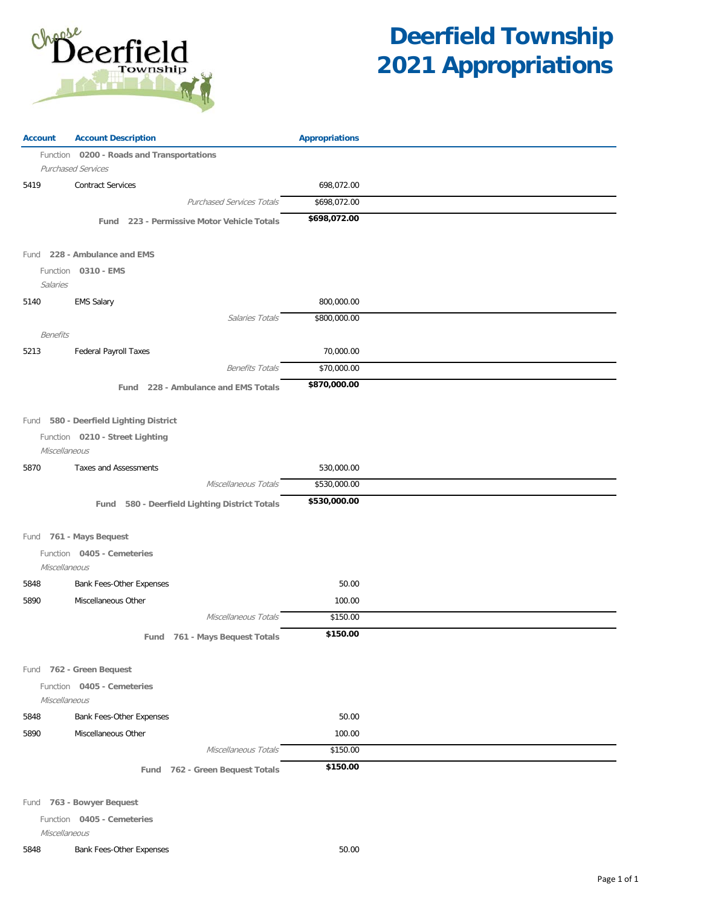

| <b>Account</b>  | <b>Account Description</b>                                                | <b>Appropriations</b> |  |
|-----------------|---------------------------------------------------------------------------|-----------------------|--|
|                 | Function 0200 - Roads and Transportations<br><b>Purchased Services</b>    |                       |  |
| 5419            | <b>Contract Services</b>                                                  | 698,072.00            |  |
|                 | <b>Purchased Services Totals</b>                                          | \$698,072.00          |  |
|                 | Fund 223 - Permissive Motor Vehicle Totals                                | \$698,072.00          |  |
|                 | Fund 228 - Ambulance and EMS                                              |                       |  |
| Salaries        | Function 0310 - EMS                                                       |                       |  |
| 5140            | <b>EMS Salary</b>                                                         | 800,000.00            |  |
|                 | Salaries Totals                                                           | \$800,000.00          |  |
| <b>Benefits</b> |                                                                           |                       |  |
| 5213            | <b>Federal Payroll Taxes</b>                                              | 70,000.00             |  |
|                 | <b>Benefits Totals</b>                                                    | \$70,000.00           |  |
|                 | Fund 228 - Ambulance and EMS Totals                                       | \$870,000.00          |  |
| Miscellaneous   | Fund 580 - Deerfield Lighting District<br>Function 0210 - Street Lighting |                       |  |
| 5870            | <b>Taxes and Assessments</b>                                              | 530,000.00            |  |
|                 | Miscellaneous Totals                                                      | \$530,000.00          |  |
|                 | Fund 580 - Deerfield Lighting District Totals                             | \$530,000.00          |  |
|                 | Fund 761 - Mays Bequest                                                   |                       |  |
| Miscellaneous   | Function 0405 - Cemeteries                                                |                       |  |
| 5848            | Bank Fees-Other Expenses                                                  | 50.00                 |  |
| 5890            | Miscellaneous Other                                                       | 100.00                |  |
|                 | Miscellaneous Totals                                                      | \$150.00              |  |
|                 | 761 - Mays Bequest Totals<br>Fund                                         | \$150.00              |  |
|                 | Fund 762 - Green Bequest                                                  |                       |  |
| Miscellaneous   | Function 0405 - Cemeteries                                                |                       |  |
| 5848            | <b>Bank Fees-Other Expenses</b>                                           | 50.00                 |  |
| 5890            | Miscellaneous Other                                                       | 100.00                |  |
|                 | Miscellaneous Totals                                                      | \$150.00              |  |
|                 | Fund 762 - Green Bequest Totals                                           | \$150.00              |  |
|                 |                                                                           |                       |  |

Fund **763 - Bowyer Bequest**

Function **0405 - Cemeteries**

Miscellaneous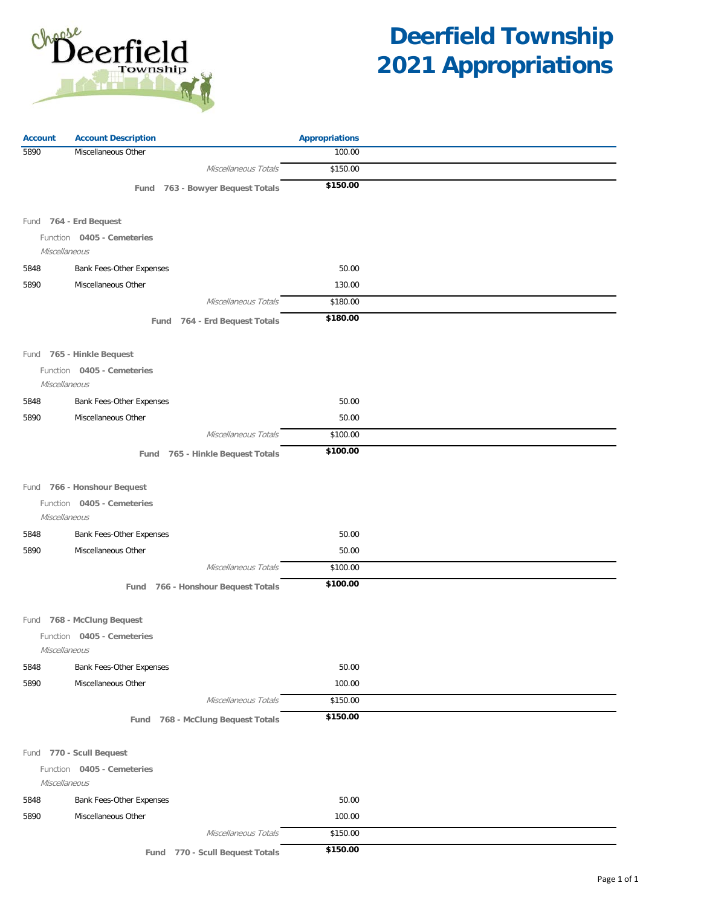

| <b>Account</b> | <b>Account Description</b>         | <b>Appropriations</b> |  |
|----------------|------------------------------------|-----------------------|--|
| 5890           | Miscellaneous Other                | 100.00                |  |
|                | Miscellaneous Totals               | \$150.00              |  |
|                | Fund 763 - Bowyer Bequest Totals   | \$150.00              |  |
|                |                                    |                       |  |
|                | Fund 764 - Erd Bequest             |                       |  |
| Miscellaneous  | Function 0405 - Cemeteries         |                       |  |
| 5848           | <b>Bank Fees-Other Expenses</b>    | 50.00                 |  |
| 5890           | Miscellaneous Other                | 130.00                |  |
|                | Miscellaneous Totals               | \$180.00              |  |
|                | Fund 764 - Erd Bequest Totals      | \$180.00              |  |
|                | Fund 765 - Hinkle Bequest          |                       |  |
|                | Function 0405 - Cemeteries         |                       |  |
| Miscellaneous  |                                    |                       |  |
| 5848           | Bank Fees-Other Expenses           | 50.00                 |  |
| 5890           | Miscellaneous Other                | 50.00                 |  |
|                | Miscellaneous Totals               | \$100.00              |  |
|                | Fund 765 - Hinkle Bequest Totals   | \$100.00              |  |
|                | Fund 766 - Honshour Bequest        |                       |  |
|                | Function 0405 - Cemeteries         |                       |  |
| Miscellaneous  |                                    |                       |  |
| 5848           | Bank Fees-Other Expenses           | 50.00                 |  |
| 5890           | Miscellaneous Other                | 50.00                 |  |
|                | Miscellaneous Totals               | \$100.00              |  |
|                | Fund 766 - Honshour Bequest Totals | \$100.00              |  |
|                | Fund 768 - McClung Bequest         |                       |  |
|                | Function 0405 - Cemeteries         |                       |  |
| Miscellaneous  |                                    |                       |  |
| 5848           | Bank Fees-Other Expenses           | 50.00                 |  |
| 5890           | Miscellaneous Other                | 100.00                |  |
|                | Miscellaneous Totals               | \$150.00              |  |
|                | Fund 768 - McClung Bequest Totals  | \$150.00              |  |
|                |                                    |                       |  |
|                | Fund 770 - Scull Bequest           |                       |  |
| Miscellaneous  | Function 0405 - Cemeteries         |                       |  |
| 5848           | Bank Fees-Other Expenses           | 50.00                 |  |
| 5890           | Miscellaneous Other                | 100.00                |  |
|                | Miscellaneous Totals               | \$150.00              |  |
|                | 770 - Scull Bequest Totals<br>Fund | \$150.00              |  |
|                |                                    |                       |  |